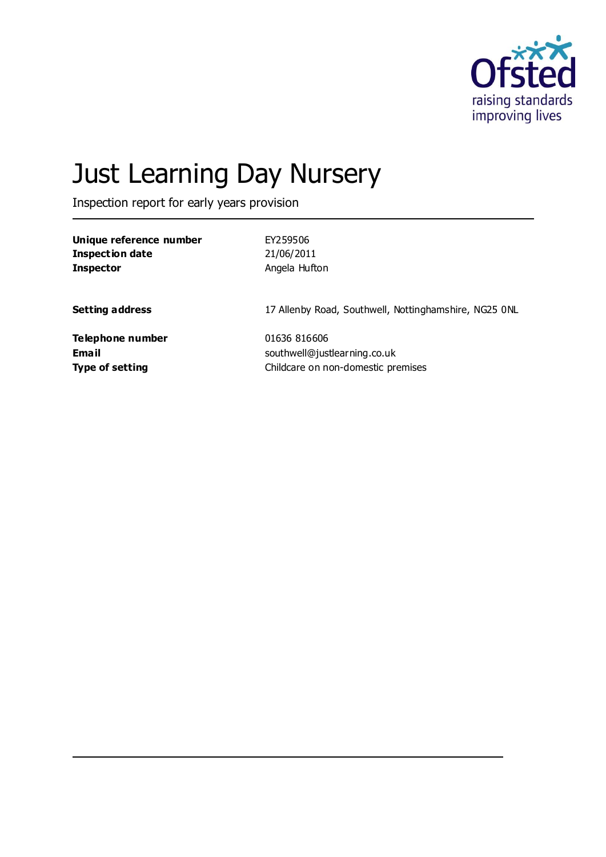

# Just Learning Day Nursery

Inspection report for early years provision

| Unique reference number | EY259506                                              |
|-------------------------|-------------------------------------------------------|
| Inspection date         | 21/06/2011                                            |
| <b>Inspector</b>        | Angela Hufton                                         |
| <b>Setting address</b>  | 17 Allenby Road, Southwell, Nottinghamshire, NG25 ONL |
| Telephone number        | 01636 816606                                          |
| Email                   | southwell@justlearning.co.uk                          |
| <b>Type of setting</b>  | Childcare on non-domestic premises                    |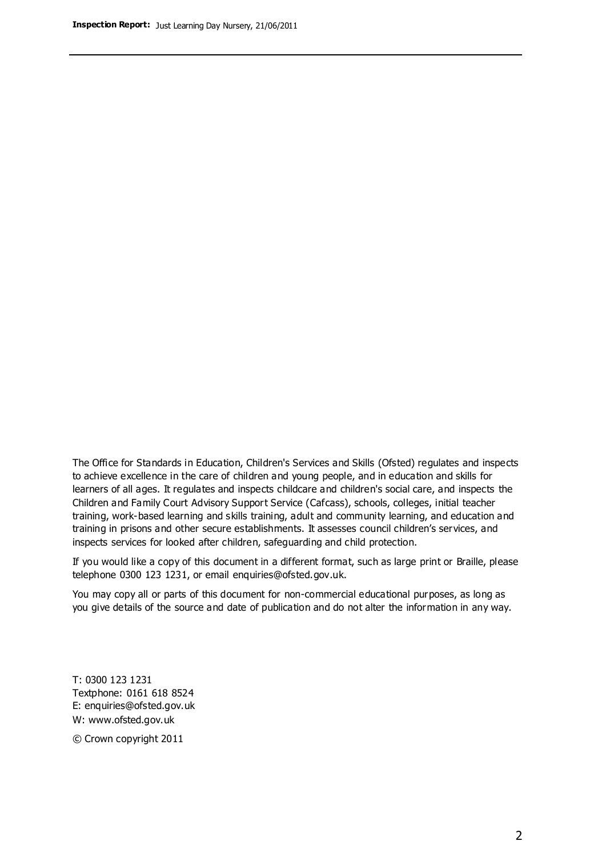The Office for Standards in Education, Children's Services and Skills (Ofsted) regulates and inspects to achieve excellence in the care of children and young people, and in education and skills for learners of all ages. It regulates and inspects childcare and children's social care, and inspects the Children and Family Court Advisory Support Service (Cafcass), schools, colleges, initial teacher training, work-based learning and skills training, adult and community learning, and education and training in prisons and other secure establishments. It assesses council children's services, and inspects services for looked after children, safeguarding and child protection.

If you would like a copy of this document in a different format, such as large print or Braille, please telephone 0300 123 1231, or email enquiries@ofsted.gov.uk.

You may copy all or parts of this document for non-commercial educational purposes, as long as you give details of the source and date of publication and do not alter the information in any way.

T: 0300 123 1231 Textphone: 0161 618 8524 E: enquiries@ofsted.gov.uk W: [www.ofsted.gov.uk](http://www.ofsted.gov.uk/)

© Crown copyright 2011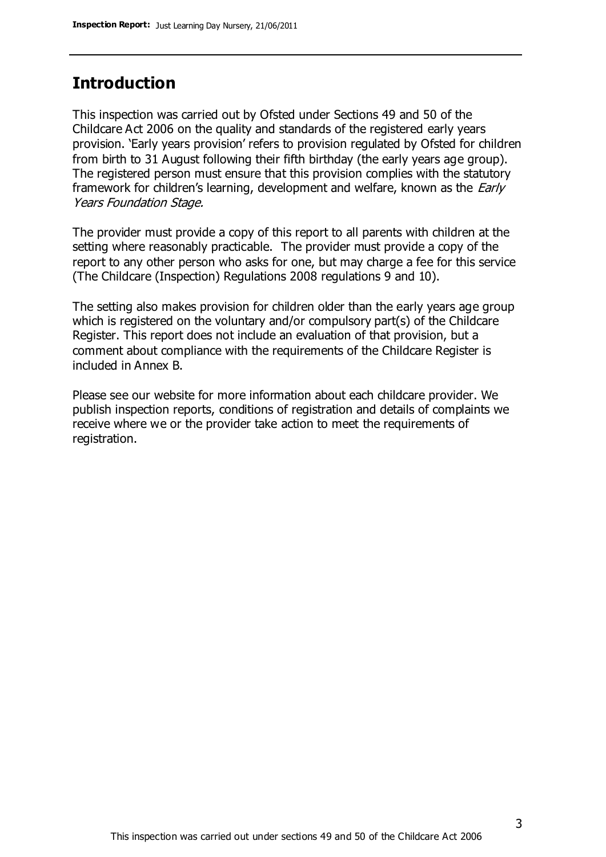### **Introduction**

This inspection was carried out by Ofsted under Sections 49 and 50 of the Childcare Act 2006 on the quality and standards of the registered early years provision. 'Early years provision' refers to provision regulated by Ofsted for children from birth to 31 August following their fifth birthday (the early years age group). The registered person must ensure that this provision complies with the statutory framework for children's learning, development and welfare, known as the *Early* Years Foundation Stage.

The provider must provide a copy of this report to all parents with children at the setting where reasonably practicable. The provider must provide a copy of the report to any other person who asks for one, but may charge a fee for this service (The Childcare (Inspection) Regulations 2008 regulations 9 and 10).

The setting also makes provision for children older than the early years age group which is registered on the voluntary and/or compulsory part(s) of the Childcare Register. This report does not include an evaluation of that provision, but a comment about compliance with the requirements of the Childcare Register is included in Annex B.

Please see our website for more information about each childcare provider. We publish inspection reports, conditions of registration and details of complaints we receive where we or the provider take action to meet the requirements of registration.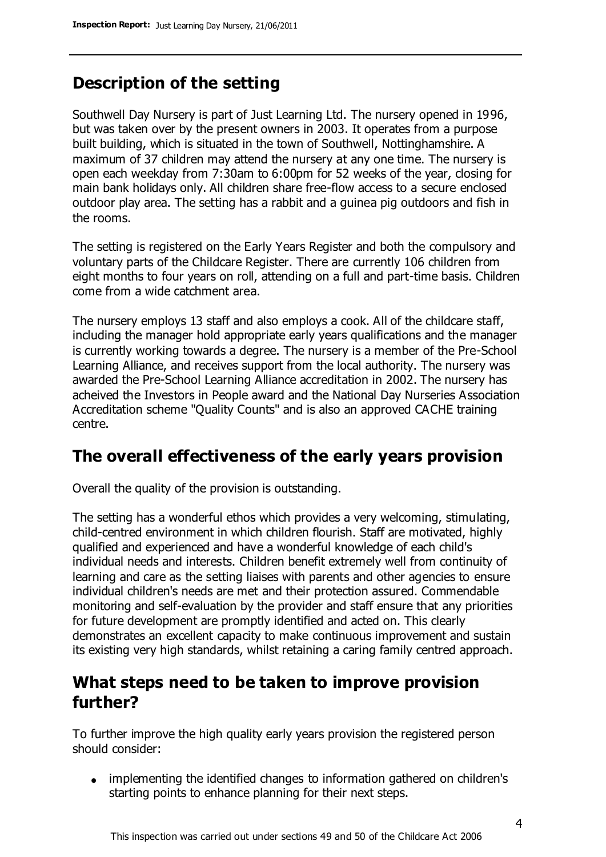## **Description of the setting**

Southwell Day Nursery is part of Just Learning Ltd. The nursery opened in 1996, but was taken over by the present owners in 2003. It operates from a purpose built building, which is situated in the town of Southwell, Nottinghamshire. A maximum of 37 children may attend the nursery at any one time. The nursery is open each weekday from 7:30am to 6:00pm for 52 weeks of the year, closing for main bank holidays only. All children share free-flow access to a secure enclosed outdoor play area. The setting has a rabbit and a guinea pig outdoors and fish in the rooms.

The setting is registered on the Early Years Register and both the compulsory and voluntary parts of the Childcare Register. There are currently 106 children from eight months to four years on roll, attending on a full and part-time basis. Children come from a wide catchment area.

The nursery employs 13 staff and also employs a cook. All of the childcare staff, including the manager hold appropriate early years qualifications and the manager is currently working towards a degree. The nursery is a member of the Pre-School Learning Alliance, and receives support from the local authority. The nursery was awarded the Pre-School Learning Alliance accreditation in 2002. The nursery has acheived the Investors in People award and the National Day Nurseries Association Accreditation scheme "Quality Counts" and is also an approved CACHE training centre.

#### **The overall effectiveness of the early years provision**

Overall the quality of the provision is outstanding.

The setting has a wonderful ethos which provides a very welcoming, stimulating, child-centred environment in which children flourish. Staff are motivated, highly qualified and experienced and have a wonderful knowledge of each child's individual needs and interests. Children benefit extremely well from continuity of learning and care as the setting liaises with parents and other agencies to ensure individual children's needs are met and their protection assured. Commendable monitoring and self-evaluation by the provider and staff ensure that any priorities for future development are promptly identified and acted on. This clearly demonstrates an excellent capacity to make continuous improvement and sustain its existing very high standards, whilst retaining a caring family centred approach.

### **What steps need to be taken to improve provision further?**

To further improve the high quality early years provision the registered person should consider:

• implementing the identified changes to information gathered on children's starting points to enhance planning for their next steps.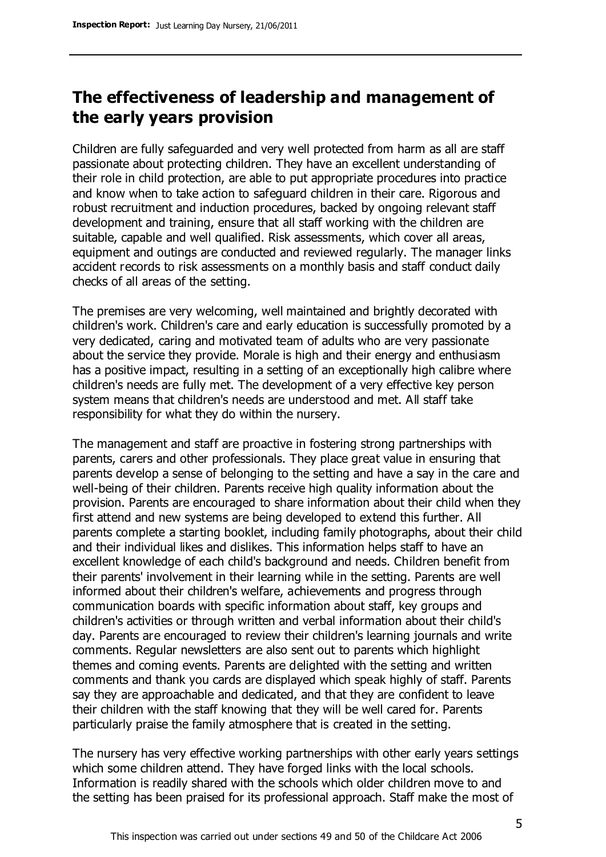## **The effectiveness of leadership and management of the early years provision**

Children are fully safeguarded and very well protected from harm as all are staff passionate about protecting children. They have an excellent understanding of their role in child protection, are able to put appropriate procedures into practice and know when to take action to safeguard children in their care. Rigorous and robust recruitment and induction procedures, backed by ongoing relevant staff development and training, ensure that all staff working with the children are suitable, capable and well qualified. Risk assessments, which cover all areas, equipment and outings are conducted and reviewed regularly. The manager links accident records to risk assessments on a monthly basis and staff conduct daily checks of all areas of the setting.

The premises are very welcoming, well maintained and brightly decorated with children's work. Children's care and early education is successfully promoted by a very dedicated, caring and motivated team of adults who are very passionate about the service they provide. Morale is high and their energy and enthusiasm has a positive impact, resulting in a setting of an exceptionally high calibre where children's needs are fully met. The development of a very effective key person system means that children's needs are understood and met. All staff take responsibility for what they do within the nursery.

The management and staff are proactive in fostering strong partnerships with parents, carers and other professionals. They place great value in ensuring that parents develop a sense of belonging to the setting and have a say in the care and well-being of their children. Parents receive high quality information about the provision. Parents are encouraged to share information about their child when they first attend and new systems are being developed to extend this further. All parents complete a starting booklet, including family photographs, about their child and their individual likes and dislikes. This information helps staff to have an excellent knowledge of each child's background and needs. Children benefit from their parents' involvement in their learning while in the setting. Parents are well informed about their children's welfare, achievements and progress through communication boards with specific information about staff, key groups and children's activities or through written and verbal information about their child's day. Parents are encouraged to review their children's learning journals and write comments. Regular newsletters are also sent out to parents which highlight themes and coming events. Parents are delighted with the setting and written comments and thank you cards are displayed which speak highly of staff. Parents say they are approachable and dedicated, and that they are confident to leave their children with the staff knowing that they will be well cared for. Parents particularly praise the family atmosphere that is created in the setting.

The nursery has very effective working partnerships with other early years settings which some children attend. They have forged links with the local schools. Information is readily shared with the schools which older children move to and the setting has been praised for its professional approach. Staff make the most of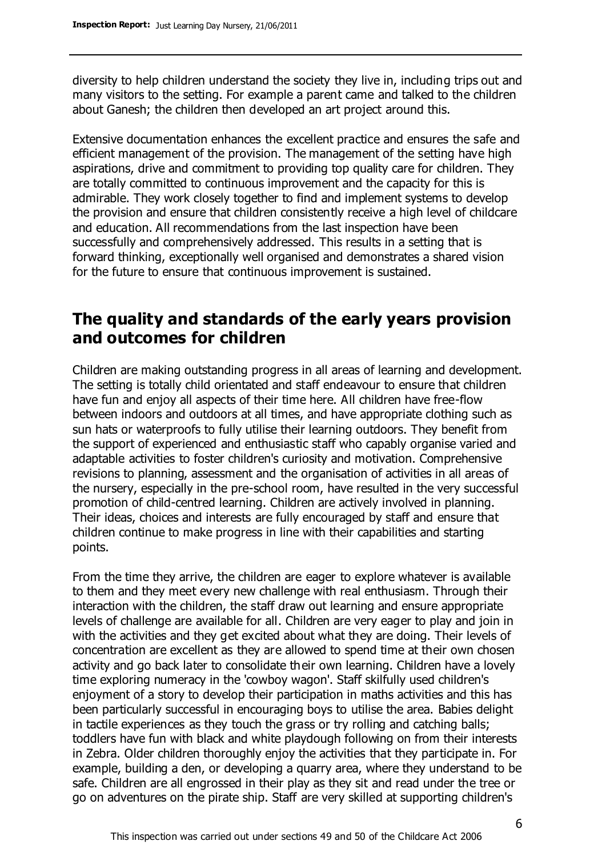diversity to help children understand the society they live in, including trips out and many visitors to the setting. For example a parent came and talked to the children about Ganesh; the children then developed an art project around this.

Extensive documentation enhances the excellent practice and ensures the safe and efficient management of the provision. The management of the setting have high aspirations, drive and commitment to providing top quality care for children. They are totally committed to continuous improvement and the capacity for this is admirable. They work closely together to find and implement systems to develop the provision and ensure that children consistently receive a high level of childcare and education. All recommendations from the last inspection have been successfully and comprehensively addressed. This results in a setting that is forward thinking, exceptionally well organised and demonstrates a shared vision for the future to ensure that continuous improvement is sustained.

#### **The quality and standards of the early years provision and outcomes for children**

Children are making outstanding progress in all areas of learning and development. The setting is totally child orientated and staff endeavour to ensure that children have fun and enjoy all aspects of their time here. All children have free-flow between indoors and outdoors at all times, and have appropriate clothing such as sun hats or waterproofs to fully utilise their learning outdoors. They benefit from the support of experienced and enthusiastic staff who capably organise varied and adaptable activities to foster children's curiosity and motivation. Comprehensive revisions to planning, assessment and the organisation of activities in all areas of the nursery, especially in the pre-school room, have resulted in the very successful promotion of child-centred learning. Children are actively involved in planning. Their ideas, choices and interests are fully encouraged by staff and ensure that children continue to make progress in line with their capabilities and starting points.

From the time they arrive, the children are eager to explore whatever is available to them and they meet every new challenge with real enthusiasm. Through their interaction with the children, the staff draw out learning and ensure appropriate levels of challenge are available for all. Children are very eager to play and join in with the activities and they get excited about what they are doing. Their levels of concentration are excellent as they are allowed to spend time at their own chosen activity and go back later to consolidate their own learning. Children have a lovely time exploring numeracy in the 'cowboy wagon'. Staff skilfully used children's enjoyment of a story to develop their participation in maths activities and this has been particularly successful in encouraging boys to utilise the area. Babies delight in tactile experiences as they touch the grass or try rolling and catching balls; toddlers have fun with black and white playdough following on from their interests in Zebra. Older children thoroughly enjoy the activities that they participate in. For example, building a den, or developing a quarry area, where they understand to be safe. Children are all engrossed in their play as they sit and read under the tree or go on adventures on the pirate ship. Staff are very skilled at supporting children's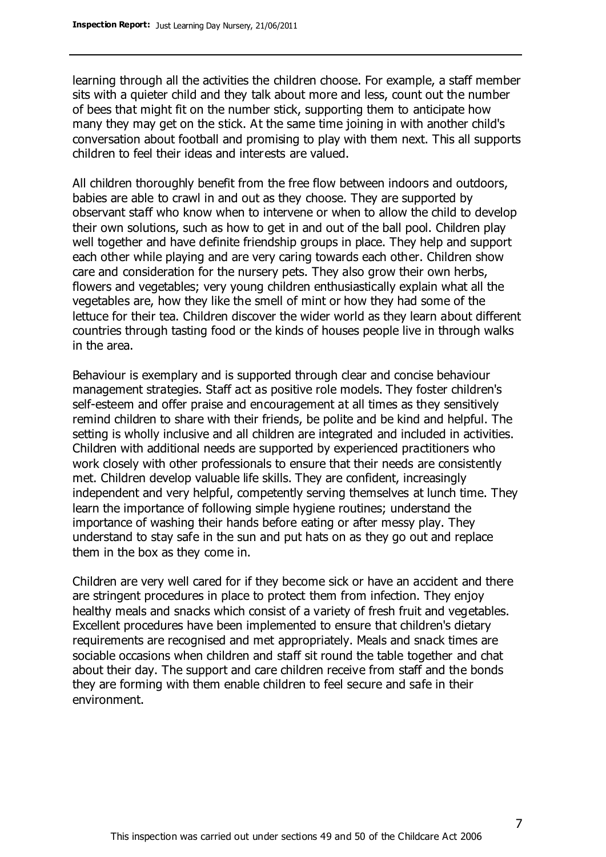learning through all the activities the children choose. For example, a staff member sits with a quieter child and they talk about more and less, count out the number of bees that might fit on the number stick, supporting them to anticipate how many they may get on the stick. At the same time joining in with another child's conversation about football and promising to play with them next. This all supports children to feel their ideas and interests are valued.

All children thoroughly benefit from the free flow between indoors and outdoors, babies are able to crawl in and out as they choose. They are supported by observant staff who know when to intervene or when to allow the child to develop their own solutions, such as how to get in and out of the ball pool. Children play well together and have definite friendship groups in place. They help and support each other while playing and are very caring towards each other. Children show care and consideration for the nursery pets. They also grow their own herbs, flowers and vegetables; very young children enthusiastically explain what all the vegetables are, how they like the smell of mint or how they had some of the lettuce for their tea. Children discover the wider world as they learn about different countries through tasting food or the kinds of houses people live in through walks in the area.

Behaviour is exemplary and is supported through clear and concise behaviour management strategies. Staff act as positive role models. They foster children's self-esteem and offer praise and encouragement at all times as they sensitively remind children to share with their friends, be polite and be kind and helpful. The setting is wholly inclusive and all children are integrated and included in activities. Children with additional needs are supported by experienced practitioners who work closely with other professionals to ensure that their needs are consistently met. Children develop valuable life skills. They are confident, increasingly independent and very helpful, competently serving themselves at lunch time. They learn the importance of following simple hygiene routines; understand the importance of washing their hands before eating or after messy play. They understand to stay safe in the sun and put hats on as they go out and replace them in the box as they come in.

Children are very well cared for if they become sick or have an accident and there are stringent procedures in place to protect them from infection. They enjoy healthy meals and snacks which consist of a variety of fresh fruit and vegetables. Excellent procedures have been implemented to ensure that children's dietary requirements are recognised and met appropriately. Meals and snack times are sociable occasions when children and staff sit round the table together and chat about their day. The support and care children receive from staff and the bonds they are forming with them enable children to feel secure and safe in their environment.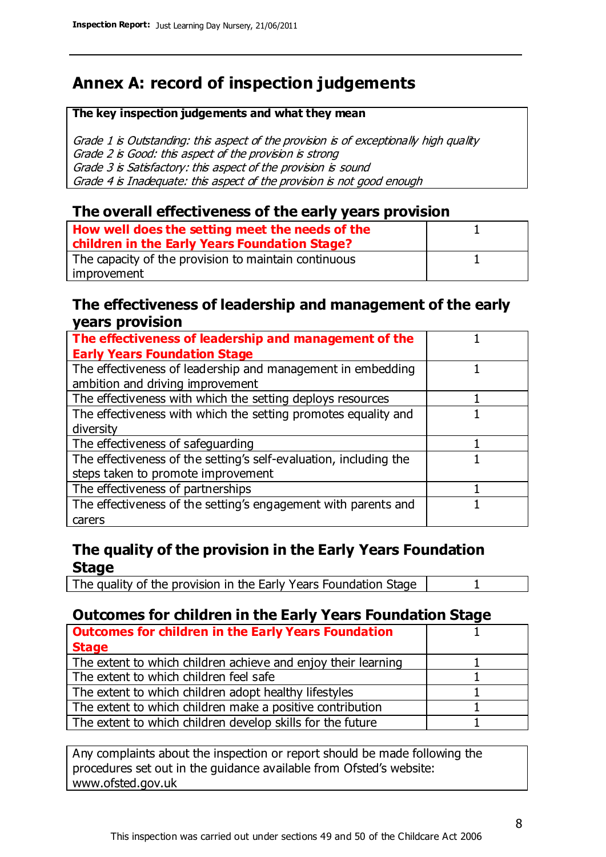## **Annex A: record of inspection judgements**

#### **The key inspection judgements and what they mean**

Grade 1 is Outstanding: this aspect of the provision is of exceptionally high quality Grade 2 is Good: this aspect of the provision is strong Grade 3 is Satisfactory: this aspect of the provision is sound Grade 4 is Inadequate: this aspect of the provision is not good enough

#### **The overall effectiveness of the early years provision**

| How well does the setting meet the needs of the<br>children in the Early Years Foundation Stage? |  |
|--------------------------------------------------------------------------------------------------|--|
| The capacity of the provision to maintain continuous                                             |  |
| improvement                                                                                      |  |

#### **The effectiveness of leadership and management of the early years provision**

| The effectiveness of leadership and management of the             |  |
|-------------------------------------------------------------------|--|
| <b>Early Years Foundation Stage</b>                               |  |
| The effectiveness of leadership and management in embedding       |  |
| ambition and driving improvement                                  |  |
| The effectiveness with which the setting deploys resources        |  |
| The effectiveness with which the setting promotes equality and    |  |
| diversity                                                         |  |
| The effectiveness of safeguarding                                 |  |
| The effectiveness of the setting's self-evaluation, including the |  |
| steps taken to promote improvement                                |  |
| The effectiveness of partnerships                                 |  |
| The effectiveness of the setting's engagement with parents and    |  |
| carers                                                            |  |

#### **The quality of the provision in the Early Years Foundation Stage**

The quality of the provision in the Early Years Foundation Stage | 1

#### **Outcomes for children in the Early Years Foundation Stage**

| <b>Outcomes for children in the Early Years Foundation</b>    |  |
|---------------------------------------------------------------|--|
| <b>Stage</b>                                                  |  |
| The extent to which children achieve and enjoy their learning |  |
| The extent to which children feel safe                        |  |
| The extent to which children adopt healthy lifestyles         |  |
| The extent to which children make a positive contribution     |  |
| The extent to which children develop skills for the future    |  |

Any complaints about the inspection or report should be made following the procedures set out in the guidance available from Ofsted's website: www.ofsted.gov.uk